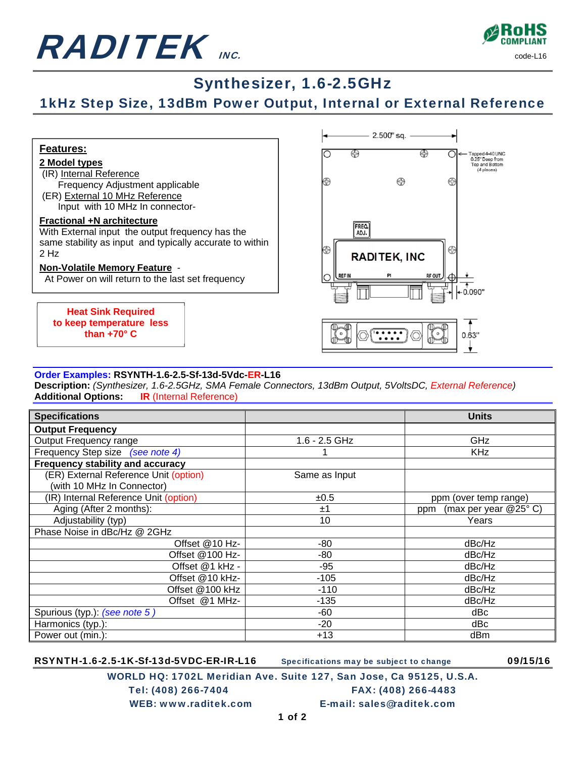



## Synthesizer, 1.6-2.5GHz

## 1kHz Step Size, 13dBm Power Output, Internal or External Reference



#### **Order Examples: RSYNTH-1.6-2.5-Sf-13d-5Vdc-ER-L16**

**Description:** *(Synthesizer, 1.6-2.5GHz, SMA Female Connectors, 13dBm Output, 5VoltsDC, External Reference)*  **Additional Options: IR** (Internal Reference)

| <b>Specifications</b>                 |                 | <b>Units</b>                   |
|---------------------------------------|-----------------|--------------------------------|
| <b>Output Frequency</b>               |                 |                                |
| Output Frequency range                | $1.6 - 2.5$ GHz | GHz                            |
| Frequency Step size (see note 4)      |                 | <b>KHz</b>                     |
| Frequency stability and accuracy      |                 |                                |
| (ER) External Reference Unit (option) | Same as Input   |                                |
| (with 10 MHz In Connector)            |                 |                                |
| (IR) Internal Reference Unit (option) | ±0.5            | ppm (over temp range)          |
| Aging (After 2 months):               | ±1              | (max per year $@25°$ C)<br>ppm |
| Adjustability (typ)                   | 10              | Years                          |
| Phase Noise in dBc/Hz @ 2GHz          |                 |                                |
| Offset @10 Hz-                        | -80             | dBc/Hz                         |
| Offset @100 Hz-                       | -80             | dBc/Hz                         |
| Offset @1 kHz -                       | -95             | dBc/Hz                         |
| Offset @10 kHz-                       | $-105$          | dBc/Hz                         |
| Offset @100 kHz                       | $-110$          | dBc/Hz                         |
| Offset @1 MHz-                        | $-135$          | dBc/Hz                         |
| Spurious (typ.): (see note 5)         | -60             | dBc                            |
| Harmonics (typ.):                     | $-20$           | dBc                            |
| Power out (min.):                     | $+13$           | dBm                            |

RSYNTH-1.6-2.5-1K-Sf-13d-5VDC-ER-IR-L16 Specifications may be subject to change 09/15/16

WORLD HQ: 1702L Meridian Ave. Suite 127, San Jose, Ca 95125, U.S.A. Tel: (408) 266-7404 FAX: (408) 266-4483 WEB: www.raditek.com E-mail: sales@raditek.com